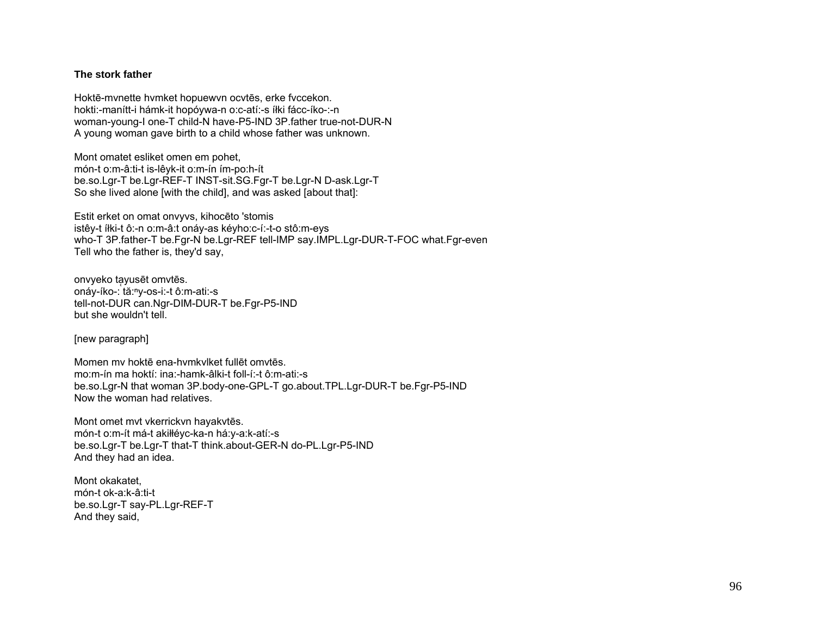## The stork father

Hoktē-mynette hymket hopuewyn ocytēs, erke fyccekon. hokti:-manítt-i hámk-it hopóywa-n o:c-atí:-s íłki fácc-íko-:-n woman-young-I one-T child-N have-P5-IND 3P.father true-not-DUR-N A young woman gave birth to a child whose father was unknown.

Mont omatet esliket omen em pohet, món-t o:m-â:ti-t is-lêyk-it o:m-ín ím-po:h-ít be.so.Lgr-T be.Lgr-REF-T INST-sit.SG.Fgr-T be.Lgr-N D-ask.Lgr-T So she lived alone [with the child], and was asked [about that]:

Estit erket on omat onvyvs, kihocēto 'stomis istêy-t íłki-t ô:-n o:m-â:t onáy-as kéyho:c-í:-t-o stô:m-eys who-T 3P father-T be Fqr-N be Lqr-REF tell-IMP say IMPL Lqr-DUR-T-FOC what Fqr-even Tell who the father is, they'd say,

onvyeko tayusēt omvtēs. onáy-íko-: tă:<sup>n</sup>y-os-i:-t ô:m-ati:-s tell-not-DUR can.Ngr-DIM-DUR-T be.Fgr-P5-IND but she wouldn't tell.

[new paragraph]

Momen my hoktě ena-hymkylket fullět omytěs. mo:m-ín ma hoktí: ina:-hamk-âlki-t foll-í:-t ô:m-ati:-s be.so.Lgr-N that woman 3P.body-one-GPL-T go.about.TPL.Lgr-DUR-T be.Fgr-P5-IND Now the woman had relatives.

Mont omet mvt vkerrickvn havakvtēs. món-t o:m-ít má-t akiłłéyc-ka-n há:y-a:k-atí:-s be.so.Lgr-T be.Lgr-T that-T think.about-GER-N do-PL.Lgr-P5-IND And they had an idea.

Mont okakatet. món-t ok-a:k-â:ti-t be.so.Lgr-T say-PL.Lgr-REF-T And they said,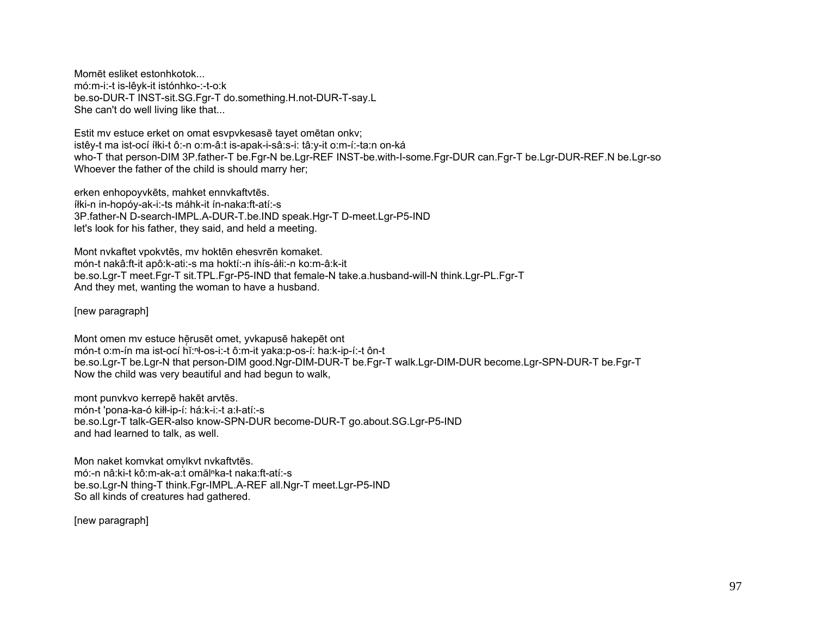Momēt esliket estonhkotok... mó:m-i:-t is-lêyk-it istónhko-:-t-o:k be.so-DUR-T INST-sit.SG.Fgr-T do.something.H.not-DUR-T-say.L She can't do well living like that...

Estit my estuce erket on omat esypykesase tayet ometan onky; istêy-t ma ist-ocí íłki-t ô:-n o:m-â:t is-apak-i-sâ:s-i: tâ:y-it o:m-í:-ta:n on-ká who-T that person-DIM 3P father-T be Fgr-N be Lgr-REF INST-be with-I-some Fgr-DUR can Fgr-T be Lgr-DUR-REF.N be Lgr-so Whoever the father of the child is should marry her;

erken enhopoyvkēts, mahket ennykaftytēs. íłki-n in-hopóy-ak-i:-ts máhk-it ín-naka:ft-atí:-s 3P.father-N D-search-IMPL.A-DUR-T.be.IND speak.Hgr-T D-meet.Lgr-P5-IND let's look for his father, they said, and held a meeting.

Mont nvkaftet vpokvtēs, mv hoktēn ehesvrēn komaket. món-t nakâ:ft-it apô:k-ati:-s ma hoktí:-n ihís-áli:-n ko:m-â:k-it be.so.Lgr-T meet.Fgr-T sit.TPL.Fgr-P5-IND that female-N take.a.husband-will-N think.Lgr-PL.Fgr-T And they met, wanting the woman to have a husband.

[new paragraph]

Mont omen my estuce heruset omet, yvkapuse hakepet ont món-t o:m-ín ma ist-ocí hǐ:<sup>n</sup>ł-os-i:-t ô:m-it yaka:p-os-í: ha:k-ip-í:-t ôn-t be.so.Lgr-T be.Lgr-N that person-DIM good.Ngr-DIM-DUR-T be.Fgr-T walk.Lgr-DIM-DUR become.Lgr-SPN-DUR-T be.Fgr-T Now the child was very beautiful and had begun to walk,

mont punykyo kerrepē hakēt arytēs. món-t 'pona-ka-ó kiłł-ip-í: há:k-i:-t a:ł-atí:-s be.so.Lgr-T talk-GER-also know-SPN-DUR become-DUR-T go.about.SG.Lgr-P5-IND and had learned to talk, as well.

Mon naket komvkat omvlkvt nvkaftvtēs. mó:-n nâ:ki-t kô:m-ak-a:t omăl<sup>n</sup>ka-t naka:ft-atí:-s be.so.Lgr-N thing-T think.Fgr-IMPL.A-REF all.Ngr-T meet.Lgr-P5-IND So all kinds of creatures had gathered.

[new paragraph]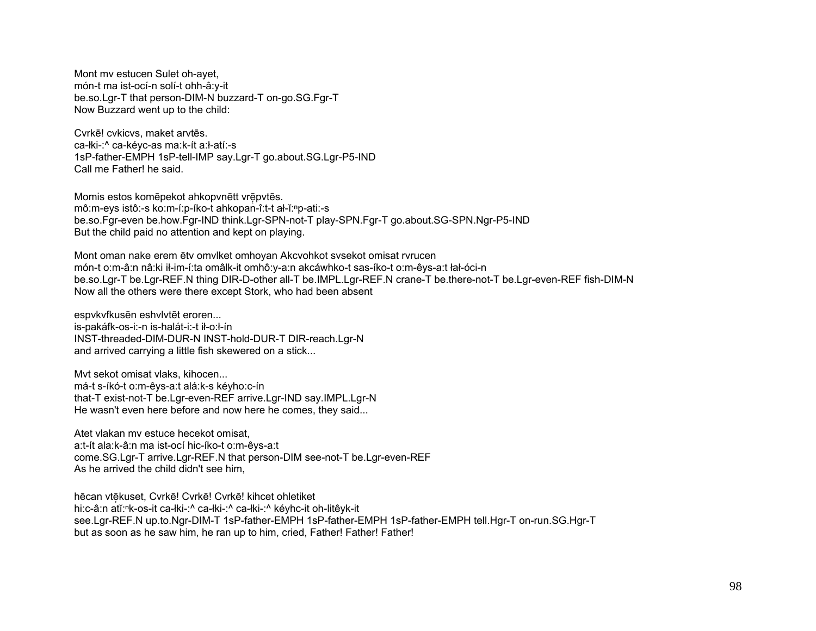Mont my estucen Sulet oh-ayet, món-t ma ist-ocí-n solí-t ohh-â:y-it be.so.Lgr-T that person-DIM-N buzzard-T on-go.SG.Fgr-T Now Buzzard went up to the child:

Cyrkē! cykicys, maket arytēs. ca-łki-:^ ca-kévc-as ma:k-ít a:ł-atí:-s 1sP-father-EMPH 1sP-tell-IMP say.Lgr-T go.about.SG.Lgr-P5-IND Call me Father! he said.

Momis estos komēpekot ahkopvnētt vrēpvtēs. mô:m-eys istô:-s ko:m-í:p-íko-t ahkopan-î:t-t al-ĭ:np-ati:-s be.so.Fgr-even be.how.Fgr-IND think.Lgr-SPN-not-T play-SPN.Fgr-T go.about.SG-SPN.Ngr-P5-IND But the child paid no attention and kept on playing.

Mont oman nake erem etv omvlket omhoyan Akcvohkot sysekot omisat ryrucen món-t o:m-â:n nâ:ki ił-im-í:ta omâlk-it omhô:y-a:n akcáwhko-t sas-íko-t o:m-êys-a:t łał-óci-n be.so.Lgr-T be.Lgr-REF.N thing DIR-D-other all-T be.IMPL.Lgr-REF.N crane-T be.there-not-T be.Lgr-even-REF fish-DIM-N Now all the others were there except Stork, who had been absent

espvkvfkusēn eshvlvtēt eroren... is-pakáfk-os-i:-n is-halát-i:-t ił-o:ł-ín INST-threaded-DIM-DUR-N INST-hold-DUR-T DIR-reach.Lgr-N and arrived carrying a little fish skewered on a stick...

Myt sekot omisat vlaks, kihocen... má-t s-íkó-t o:m-êys-a:t alá:k-s kéyho:c-ín that-T exist-not-T be.Lgr-even-REF arrive.Lgr-IND say.IMPL.Lgr-N He wasn't even here before and now here he comes, they said...

Atet vlakan my estuce hecekot omisat. a:t-ít ala:k-â:n ma ist-ocí hic-íko-t o:m-êys-a:t come.SG.Lgr-T arrive.Lgr-REF.N that person-DIM see-not-T be.Lgr-even-REF As he arrived the child didn't see him,

hēcan vtēkuset, Cvrkē! Cvrkē! Cvrkē! kihcet ohletiket hi:c-â:n atĭ:<sup>n</sup>k-os-it ca-łki-:^ ca-łki-:^ ca-łki-:^ kéyhc-it oh-litêyk-it see.Lgr-REF.N up.to.Ngr-DIM-T 1sP-father-EMPH 1sP-father-EMPH 1sP-father-EMPH tell.Hgr-T on-run.SG.Hgr-T but as soon as he saw him, he ran up to him, cried, Father! Father! Father!